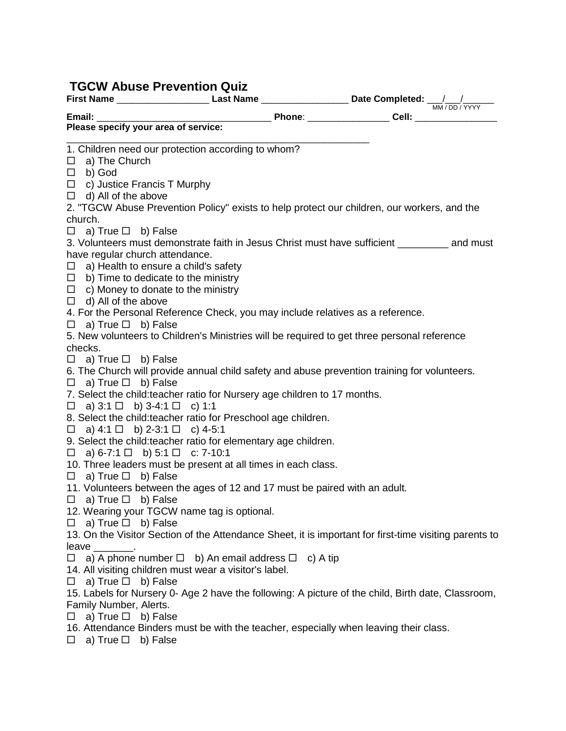## **TGCW Abuse Prevention Quiz**

| First Name ____________________________Last Name _______________________Date Completed: ___/___/_________                      |          |  |
|--------------------------------------------------------------------------------------------------------------------------------|----------|--|
|                                                                                                                                |          |  |
| Please specify your area of service:                                                                                           |          |  |
|                                                                                                                                |          |  |
| 1. Children need our protection according to whom?                                                                             |          |  |
| a) The Church<br>$\Box$                                                                                                        |          |  |
| $\Box$ b) God                                                                                                                  |          |  |
| $\Box$ c) Justice Francis T Murphy                                                                                             |          |  |
| $\Box$ d) All of the above                                                                                                     |          |  |
| 2. "TGCW Abuse Prevention Policy" exists to help protect our children, our workers, and the                                    |          |  |
| church.                                                                                                                        |          |  |
| $\Box$ a) True $\Box$ b) False                                                                                                 |          |  |
| 3. Volunteers must demonstrate faith in Jesus Christ must have sufficient ___________ and must                                 |          |  |
| have regular church attendance.                                                                                                |          |  |
| a) Health to ensure a child's safety<br>$\Box$                                                                                 |          |  |
| $\Box$ b) Time to dedicate to the ministry                                                                                     |          |  |
| $\Box$ c) Money to donate to the ministry                                                                                      |          |  |
| $\Box$ d) All of the above                                                                                                     |          |  |
| 4. For the Personal Reference Check, you may include relatives as a reference.                                                 |          |  |
| $\Box$ a) True $\Box$ b) False                                                                                                 |          |  |
| 5. New volunteers to Children's Ministries will be required to get three personal reference                                    |          |  |
| checks.                                                                                                                        |          |  |
| $\Box$ a) True $\Box$ b) False<br>6. The Church will provide annual child safety and abuse prevention training for volunteers. |          |  |
| $\Box$ a) True $\Box$ b) False                                                                                                 |          |  |
| 7. Select the child: teacher ratio for Nursery age children to 17 months.                                                      |          |  |
| $\Box$ a) 3:1 $\Box$ b) 3-4:1 $\Box$ c) 1:1                                                                                    |          |  |
| 8. Select the child: teacher ratio for Preschool age children.                                                                 |          |  |
| $\Box$ a) 4:1 $\Box$ b) 2-3:1 $\Box$ c) 4-5:1                                                                                  |          |  |
| 9. Select the child: teacher ratio for elementary age children.                                                                |          |  |
| $\Box$ a) 6-7:1 $\Box$ b) 5:1 $\Box$ c: 7-10:1                                                                                 |          |  |
| 10. Three leaders must be present at all times in each class.                                                                  |          |  |
| $\Box$ a) True $\Box$ b) False                                                                                                 |          |  |
| 11. Volunteers between the ages of 12 and 17 must be paired with an adult.                                                     |          |  |
| $\Box$ a) True $\Box$ b) False                                                                                                 |          |  |
| 12. Wearing your TGCW name tag is optional.                                                                                    |          |  |
| $\Box$ a) True $\Box$ b) False                                                                                                 |          |  |
| 13. On the Visitor Section of the Attendance Sheet, it is important for first-time visiting parents to                         |          |  |
| leave                                                                                                                          |          |  |
| a) A phone number $\Box$ b) An email address $\Box$<br>$\Box$                                                                  | c) A tip |  |
| 14. All visiting children must wear a visitor's label.                                                                         |          |  |
| a) True $\square$ b) False<br>$\Box$                                                                                           |          |  |
| 15. Labels for Nursery 0- Age 2 have the following: A picture of the child, Birth date, Classroom,                             |          |  |
| Family Number, Alerts.                                                                                                         |          |  |
| a) True $\square$ b) False<br>$\Box$                                                                                           |          |  |
| 16. Attendance Binders must be with the teacher, especially when leaving their class.                                          |          |  |

 $\Box$  a) True  $\Box$  b) False